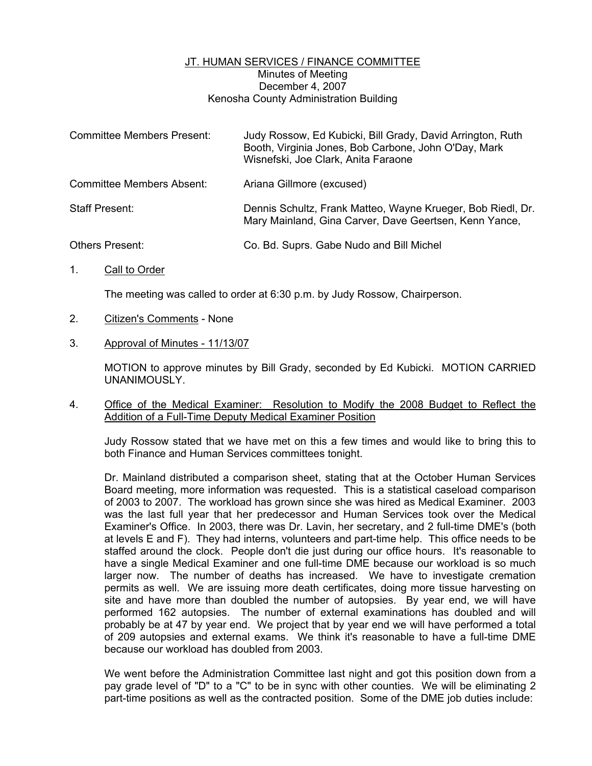## JT. HUMAN SERVICES / FINANCE COMMITTEE Minutes of Meeting December 4, 2007 Kenosha County Administration Building

| <b>Committee Members Present:</b> | Judy Rossow, Ed Kubicki, Bill Grady, David Arrington, Ruth<br>Booth, Virginia Jones, Bob Carbone, John O'Day, Mark<br>Wisnefski, Joe Clark, Anita Faraone |
|-----------------------------------|-----------------------------------------------------------------------------------------------------------------------------------------------------------|
| <b>Committee Members Absent:</b>  | Ariana Gillmore (excused)                                                                                                                                 |
| Staff Present:                    | Dennis Schultz, Frank Matteo, Wayne Krueger, Bob Riedl, Dr.<br>Mary Mainland, Gina Carver, Dave Geertsen, Kenn Yance,                                     |
| <b>Others Present:</b>            | Co. Bd. Suprs. Gabe Nudo and Bill Michel                                                                                                                  |

1. Call to Order

The meeting was called to order at 6:30 p.m. by Judy Rossow, Chairperson.

- 2. Citizen's Comments None
- 3. Approval of Minutes 11/13/07

MOTION to approve minutes by Bill Grady, seconded by Ed Kubicki. MOTION CARRIED UNANIMOUSLY.

4. Office of the Medical Examiner: Resolution to Modify the 2008 Budget to Reflect the Addition of a Full-Time Deputy Medical Examiner Position

Judy Rossow stated that we have met on this a few times and would like to bring this to both Finance and Human Services committees tonight.

Dr. Mainland distributed a comparison sheet, stating that at the October Human Services Board meeting, more information was requested. This is a statistical caseload comparison of 2003 to 2007. The workload has grown since she was hired as Medical Examiner. 2003 was the last full year that her predecessor and Human Services took over the Medical Examiner's Office. In 2003, there was Dr. Lavin, her secretary, and 2 full-time DME's (both at levels E and F). They had interns, volunteers and part-time help. This office needs to be staffed around the clock. People don't die just during our office hours. It's reasonable to have a single Medical Examiner and one full-time DME because our workload is so much larger now. The number of deaths has increased. We have to investigate cremation permits as well. We are issuing more death certificates, doing more tissue harvesting on site and have more than doubled the number of autopsies. By year end, we will have performed 162 autopsies. The number of external examinations has doubled and will probably be at 47 by year end. We project that by year end we will have performed a total of 209 autopsies and external exams. We think it's reasonable to have a full-time DME because our workload has doubled from 2003.

We went before the Administration Committee last night and got this position down from a pay grade level of "D" to a "C" to be in sync with other counties. We will be eliminating 2 part-time positions as well as the contracted position. Some of the DME job duties include: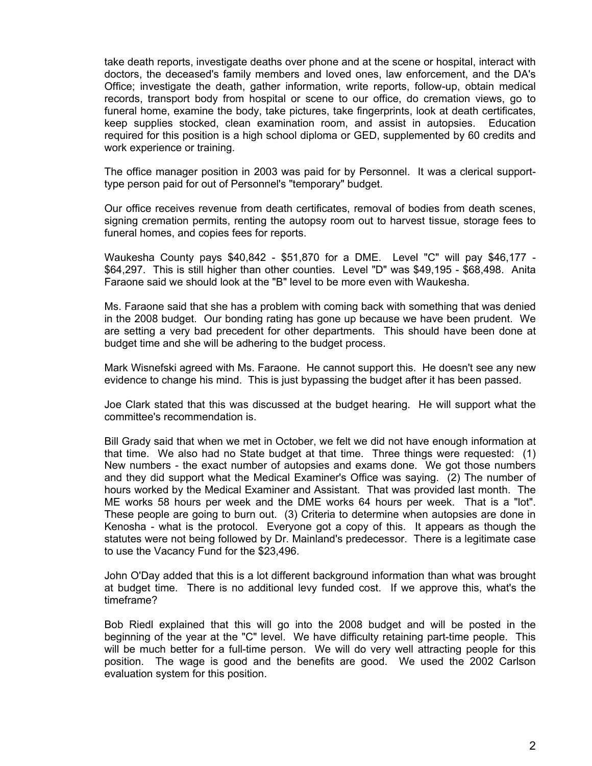take death reports, investigate deaths over phone and at the scene or hospital, interact with doctors, the deceased's family members and loved ones, law enforcement, and the DA's Office; investigate the death, gather information, write reports, follow-up, obtain medical records, transport body from hospital or scene to our office, do cremation views, go to funeral home, examine the body, take pictures, take fingerprints, look at death certificates, keep supplies stocked, clean examination room, and assist in autopsies. Education required for this position is a high school diploma or GED, supplemented by 60 credits and work experience or training.

The office manager position in 2003 was paid for by Personnel. It was a clerical supporttype person paid for out of Personnel's "temporary" budget.

Our office receives revenue from death certificates, removal of bodies from death scenes, signing cremation permits, renting the autopsy room out to harvest tissue, storage fees to funeral homes, and copies fees for reports.

Waukesha County pays \$40,842 - \$51,870 for a DME. Level "C" will pay \$46,177 - \$64,297. This is still higher than other counties. Level "D" was \$49,195 - \$68,498. Anita Faraone said we should look at the "B" level to be more even with Waukesha.

Ms. Faraone said that she has a problem with coming back with something that was denied in the 2008 budget. Our bonding rating has gone up because we have been prudent. We are setting a very bad precedent for other departments. This should have been done at budget time and she will be adhering to the budget process.

Mark Wisnefski agreed with Ms. Faraone. He cannot support this. He doesn't see any new evidence to change his mind. This is just bypassing the budget after it has been passed.

Joe Clark stated that this was discussed at the budget hearing. He will support what the committee's recommendation is.

Bill Grady said that when we met in October, we felt we did not have enough information at that time. We also had no State budget at that time. Three things were requested: (1) New numbers - the exact number of autopsies and exams done. We got those numbers and they did support what the Medical Examiner's Office was saying. (2) The number of hours worked by the Medical Examiner and Assistant. That was provided last month. The ME works 58 hours per week and the DME works 64 hours per week. That is a "lot". These people are going to burn out. (3) Criteria to determine when autopsies are done in Kenosha - what is the protocol. Everyone got a copy of this. It appears as though the statutes were not being followed by Dr. Mainland's predecessor. There is a legitimate case to use the Vacancy Fund for the \$23,496.

John O'Day added that this is a lot different background information than what was brought at budget time. There is no additional levy funded cost. If we approve this, what's the timeframe?

Bob Riedl explained that this will go into the 2008 budget and will be posted in the beginning of the year at the "C" level. We have difficulty retaining part-time people. This will be much better for a full-time person. We will do very well attracting people for this position. The wage is good and the benefits are good. We used the 2002 Carlson evaluation system for this position.